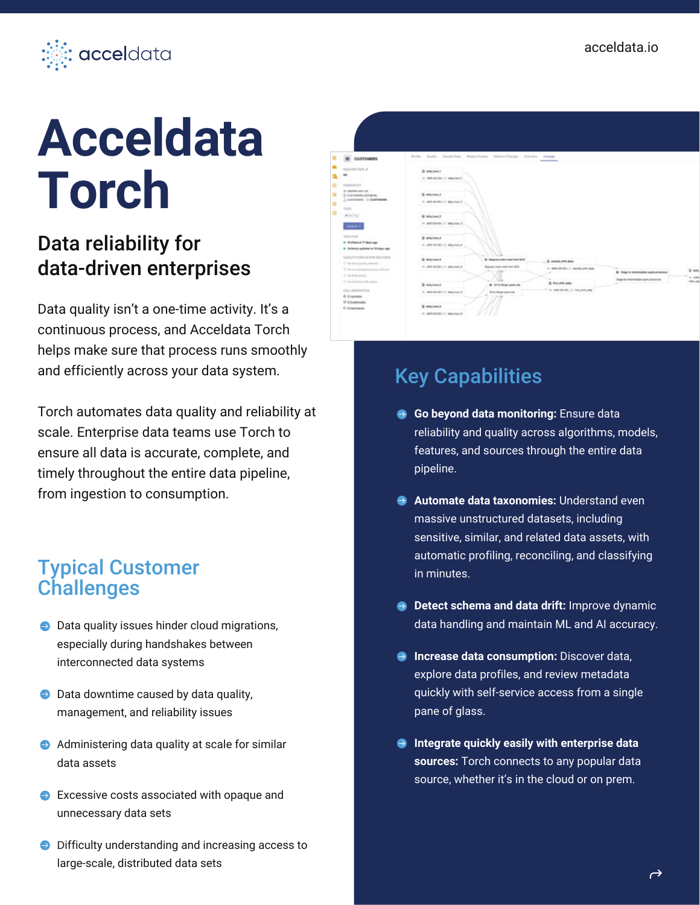

# **Acceldata Torch**

## Data reliability for data-driven enterprises

Data quality isn't a one-time activity. It's a continuous process, and Acceldata Torch helps make sure that process runs smoothly and efficiently across your data system.

Torch automates data quality and reliability at scale. Enterprise data teams use Torch to ensure all data is accurate, complete, and timely throughout the entire data pipeline, from ingestion to consumption.

#### Typical Customer **Challenges**

- **O** Data quality issues hinder cloud migrations, especially during handshakes between interconnected data systems
- $\bullet$  Data downtime caused by data quality, management, and reliability issues
- Administering data quality at scale for similar data assets
- **Excessive costs associated with opaque and** unnecessary data sets
- Difficulty understanding and increasing access to large-scale, distributed data sets



## Key Capabilities

- **Go beyond data monitoring:** Ensure data reliability and quality across algorithms, models, features, and sources through the entire data pipeline.
- **Automate data taxonomies:** Understand even massive unstructured datasets, including sensitive, similar, and related data assets, with automatic profiling, reconciling, and classifying in minutes.
- **Detect schema and data drift:** Improve dynamic data handling and maintain ML and AI accuracy.
- **Increase data consumption:** Discover data, explore data profiles, and review metadata quickly with self-service access from a single pane of glass.
- **Integrate quickly easily with enterprise data sources:** Torch connects to any popular data source, whether it's in the cloud or on prem.